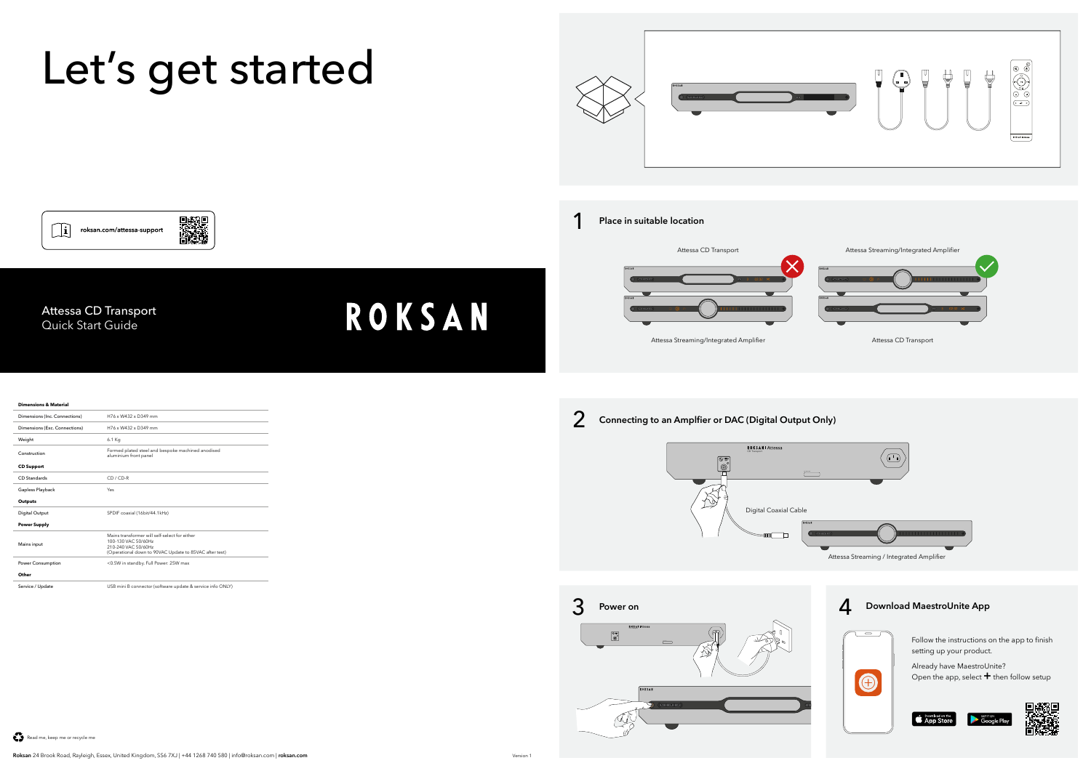

Service / Update USB mini B connector (software update & service info ONLY)

Read me, keep me or recycle me



3

 $\bullet$ 

Already have MaestroUnite? Open the app, select **+** then follow setup











Follow the instructions on the app to finish setting up your product.





 $\Box$ 

ROKSAN | Attessa

 $\boxed{\circledast}$ 

 $\mathbb{D}$ 

 $\sqrt{\widehat{m}}$ 

Digital Coaxial Cable

 $\begin{array}{c}\n\text{Im}\n\end{array}$